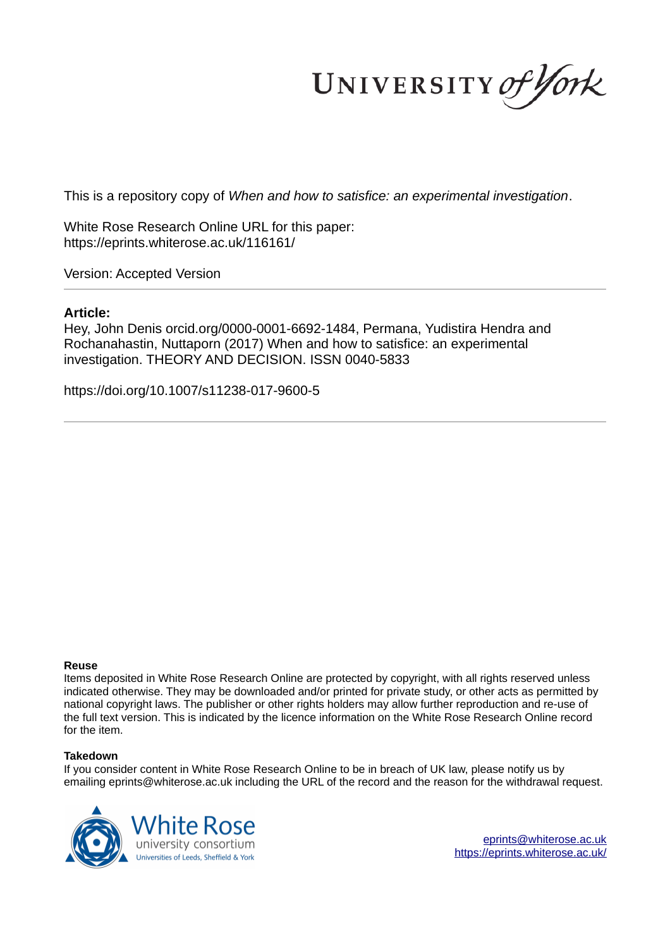UNIVERSITY of York

This is a repository copy of *When and how to satisfice: an experimental investigation*.

White Rose Research Online URL for this paper: https://eprints.whiterose.ac.uk/116161/

Version: Accepted Version

## **Article:**

Hey, John Denis orcid.org/0000-0001-6692-1484, Permana, Yudistira Hendra and Rochanahastin, Nuttaporn (2017) When and how to satisfice: an experimental investigation. THEORY AND DECISION. ISSN 0040-5833

https://doi.org/10.1007/s11238-017-9600-5

### **Reuse**

Items deposited in White Rose Research Online are protected by copyright, with all rights reserved unless indicated otherwise. They may be downloaded and/or printed for private study, or other acts as permitted by national copyright laws. The publisher or other rights holders may allow further reproduction and re-use of the full text version. This is indicated by the licence information on the White Rose Research Online record for the item.

### **Takedown**

If you consider content in White Rose Research Online to be in breach of UK law, please notify us by emailing eprints@whiterose.ac.uk including the URL of the record and the reason for the withdrawal request.



eprints@whiterose.ac.uk https://eprints.whiterose.ac.uk/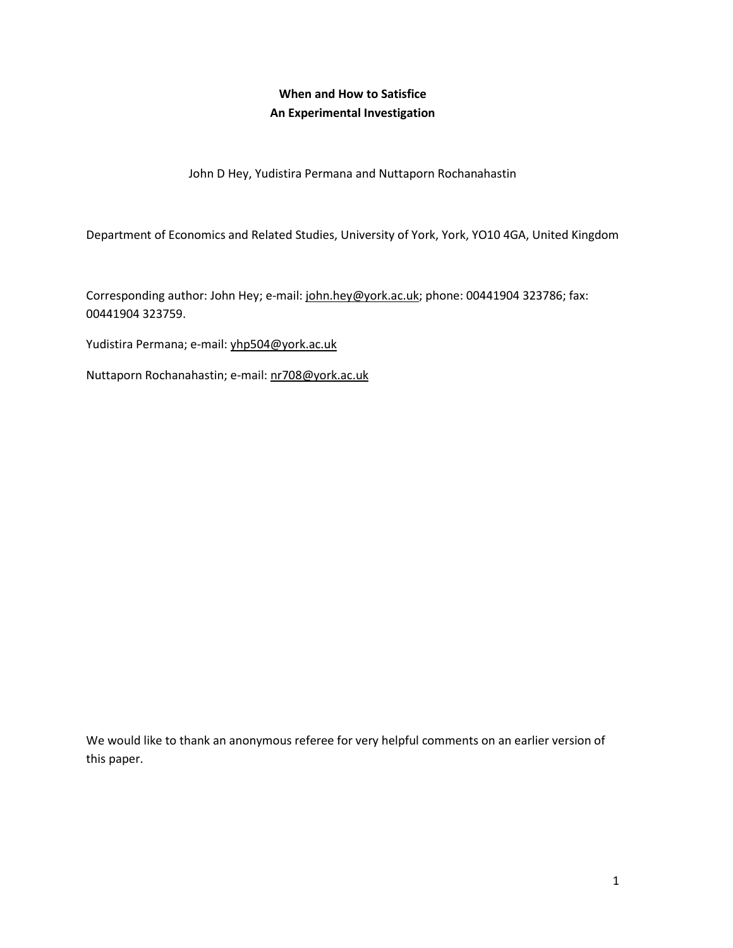# **When and How to Satisfice An Experimental Investigation**

John D Hey, Yudistira Permana and Nuttaporn Rochanahastin

Department of Economics and Related Studies, University of York, York, YO10 4GA, United Kingdom

Corresponding author: John Hey; e-mail: [john.hey@york.ac.uk;](mailto:john.hey@york.ac.uk) phone: 00441904 323786; fax: 00441904 323759.

Yudistira Permana; e-mail[: yhp504@york.ac.uk](mailto:yhp504@york.ac.uk) 

Nuttaporn Rochanahastin; e-mail: [nr708@york.ac.uk](mailto:nr708@york.ac.uk) 

We would like to thank an anonymous referee for very helpful comments on an earlier version of this paper.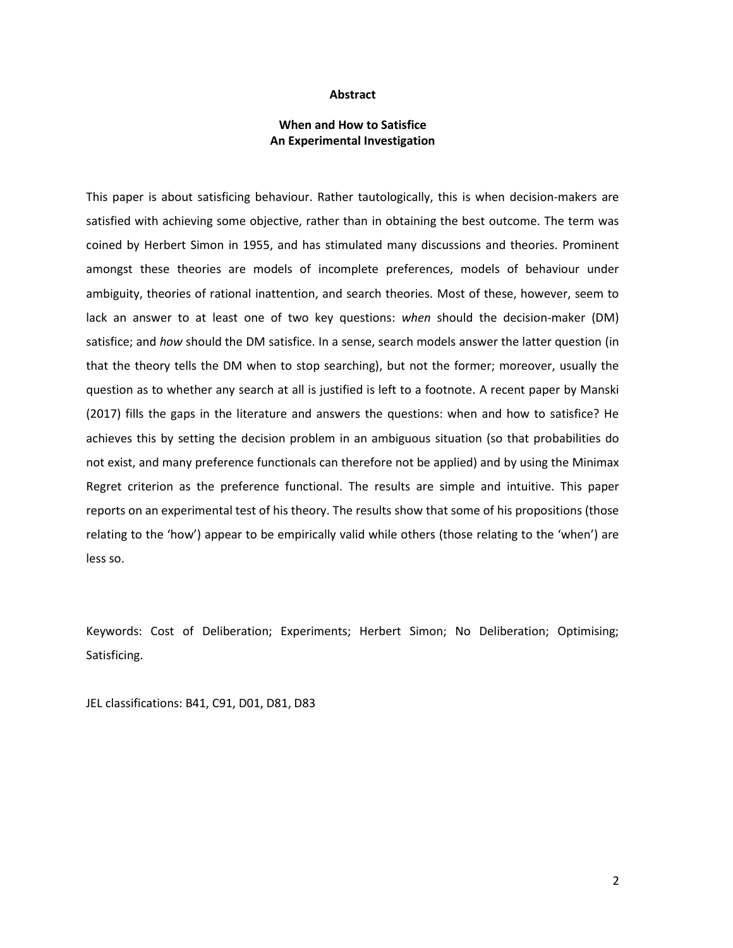#### **Abstract**

## **When and How to Satisfice An Experimental Investigation**

This paper is about satisficing behaviour. Rather tautologically, this is when decision-makers are satisfied with achieving some objective, rather than in obtaining the best outcome. The term was coined by Herbert Simon in 1955, and has stimulated many discussions and theories. Prominent amongst these theories are models of incomplete preferences, models of behaviour under ambiguity, theories of rational inattention, and search theories. Most of these, however, seem to lack an answer to at least one of two key questions: *when* should the decision-maker (DM) satisfice; and *how* should the DM satisfice. In a sense, search models answer the latter question (in that the theory tells the DM when to stop searching), but not the former; moreover, usually the question as to whether any search at all is justified is left to a footnote. A recent paper by Manski (2017) fills the gaps in the literature and answers the questions: when and how to satisfice? He achieves this by setting the decision problem in an ambiguous situation (so that probabilities do not exist, and many preference functionals can therefore not be applied) and by using the Minimax Regret criterion as the preference functional. The results are simple and intuitive. This paper reports on an experimental test of his theory. The results show that some of his propositions (those relating to the 'how') appear to be empirically valid while others (those relating to the 'when') are less so.

Keywords: Cost of Deliberation; Experiments; Herbert Simon; No Deliberation; Optimising; Satisficing.

JEL classifications: B41, C91, D01, D81, D83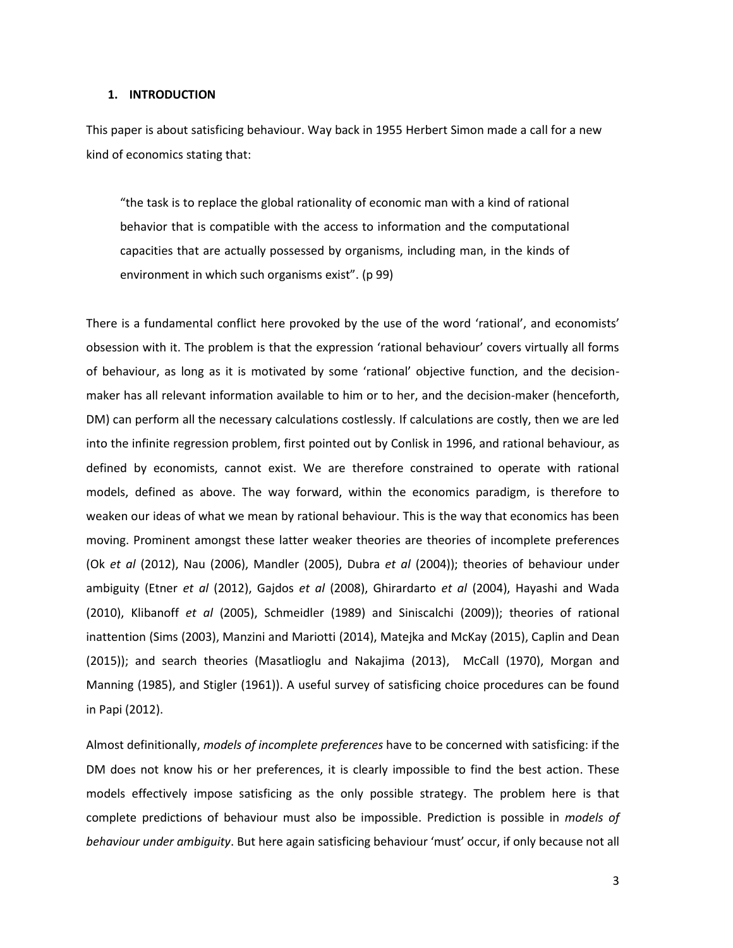#### **1. INTRODUCTION**

This paper is about satisficing behaviour. Way back in 1955 Herbert Simon made a call for a new kind of economics stating that:

"the task is to replace the global rationality of economic man with a kind of rational behavior that is compatible with the access to information and the computational capacities that are actually possessed by organisms, including man, in the kinds of environment in which such organisms exist". (p 99)

There is a fundamental conflict here provoked by the use of the word 'rational', and economists' obsession with it. The problem is that the expression 'rational behaviour' covers virtually all forms of behaviour, as long as it is motivated by some 'rational' objective function, and the decisionmaker has all relevant information available to him or to her, and the decision-maker (henceforth, DM) can perform all the necessary calculations costlessly. If calculations are costly, then we are led into the infinite regression problem, first pointed out by Conlisk in 1996, and rational behaviour, as defined by economists, cannot exist. We are therefore constrained to operate with rational models, defined as above. The way forward, within the economics paradigm, is therefore to weaken our ideas of what we mean by rational behaviour. This is the way that economics has been moving. Prominent amongst these latter weaker theories are theories of incomplete preferences (Ok *et al* (2012), Nau (2006), Mandler (2005), Dubra *et al* (2004)); theories of behaviour under ambiguity (Etner *et al* (2012), Gajdos *et al* (2008), Ghirardarto *et al* (2004), Hayashi and Wada (2010), Klibanoff *et al* (2005), Schmeidler (1989) and Siniscalchi (2009)); theories of rational inattention (Sims (2003), Manzini and Mariotti (2014), Matejka and McKay (2015), Caplin and Dean (2015)); and search theories (Masatlioglu and Nakajima (2013), McCall (1970), Morgan and Manning (1985), and Stigler (1961)). A useful survey of satisficing choice procedures can be found in Papi (2012).

Almost definitionally, *models of incomplete preferences* have to be concerned with satisficing: if the DM does not know his or her preferences, it is clearly impossible to find the best action. These models effectively impose satisficing as the only possible strategy. The problem here is that complete predictions of behaviour must also be impossible. Prediction is possible in *models of behaviour under ambiguity*. But here again satisficing behaviour 'must' occur, if only because not all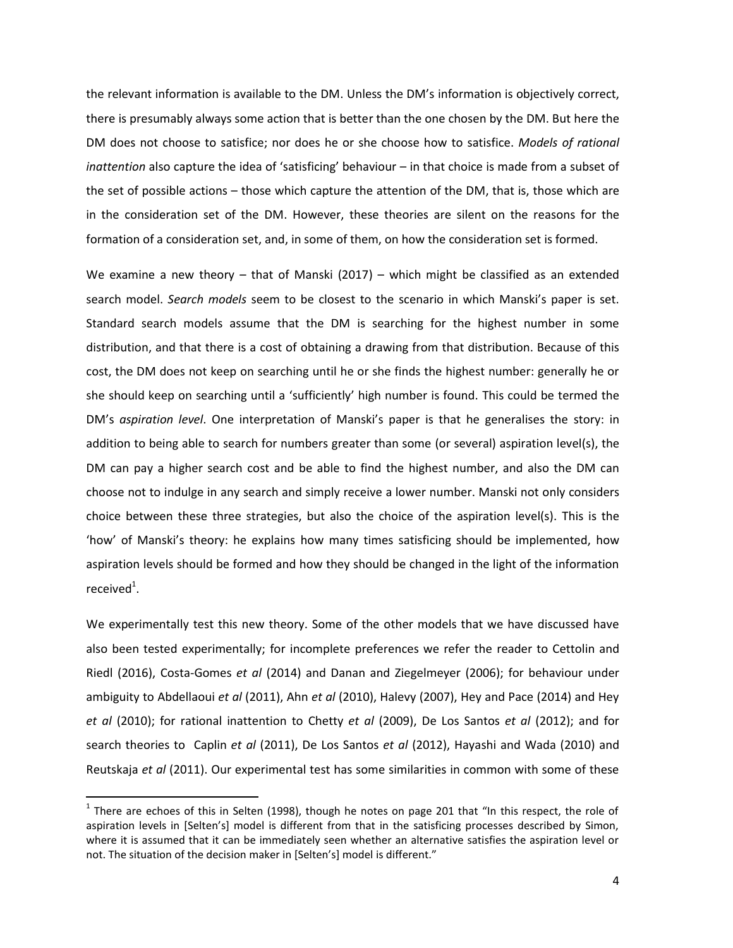the relevant information is available to the DM. Unless the DM's information is objectively correct, there is presumably always some action that is better than the one chosen by the DM. But here the DM does not choose to satisfice; nor does he or she choose how to satisfice. *Models of rational inattention* also capture the idea of 'satisficing' behaviour – in that choice is made from a subset of the set of possible actions – those which capture the attention of the DM, that is, those which are in the consideration set of the DM. However, these theories are silent on the reasons for the formation of a consideration set, and, in some of them, on how the consideration set is formed.

We examine a new theory – that of Manski  $(2017)$  – which might be classified as an extended search model. *Search models* seem to be closest to the scenario in which Manski's paper is set. Standard search models assume that the DM is searching for the highest number in some distribution, and that there is a cost of obtaining a drawing from that distribution. Because of this cost, the DM does not keep on searching until he or she finds the highest number: generally he or she should keep on searching until a 'sufficiently' high number is found. This could be termed the DM's *aspiration level*. One interpretation of Manski's paper is that he generalises the story: in addition to being able to search for numbers greater than some (or several) aspiration level(s), the DM can pay a higher search cost and be able to find the highest number, and also the DM can choose not to indulge in any search and simply receive a lower number. Manski not only considers choice between these three strategies, but also the choice of the aspiration level(s). This is the 'how' of Manski's theory: he explains how many times satisficing should be implemented, how aspiration levels should be formed and how they should be changed in the light of the information received $^1$ .

We experimentally test this new theory. Some of the other models that we have discussed have also been tested experimentally; for incomplete preferences we refer the reader to Cettolin and Riedl (2016), Costa-Gomes *et al* (2014) and Danan and Ziegelmeyer (2006); for behaviour under ambiguity to Abdellaoui *et al* (2011), Ahn *et al* (2010), Halevy (2007), Hey and Pace (2014) and Hey *et al* (2010); for rational inattention to Chetty *et al* (2009), De Los Santos *et al* (2012); and for search theories to Caplin *et al* (2011), De Los Santos *et al* (2012), Hayashi and Wada (2010) and Reutskaja *et al* (2011). Our experimental test has some similarities in common with some of these

 $\overline{a}$ 

 $^1$  There are echoes of this in Selten (1998), though he notes on page 201 that "In this respect, the role of aspiration levels in [Selten's] model is different from that in the satisficing processes described by Simon, where it is assumed that it can be immediately seen whether an alternative satisfies the aspiration level or not. The situation of the decision maker in [Selten's] model is different."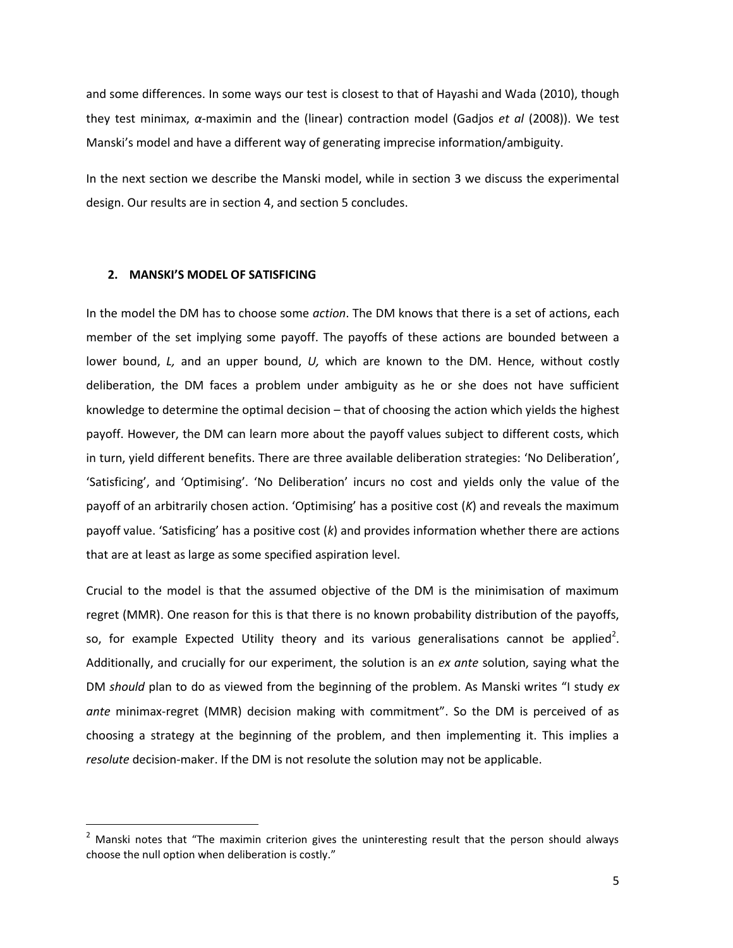and some differences. In some ways our test is closest to that of Hayashi and Wada (2010), though they test minimax, *α*-maximin and the (linear) contraction model (Gadjos *et al* (2008)). We test Manski's model and have a different way of generating imprecise information/ambiguity.

In the next section we describe the Manski model, while in section 3 we discuss the experimental design. Our results are in section 4, and section 5 concludes.

#### **2. MANSKI'S MODEL OF SATISFICING**

l

In the model the DM has to choose some *action*. The DM knows that there is a set of actions, each member of the set implying some payoff. The payoffs of these actions are bounded between a lower bound, *L,* and an upper bound, *U,* which are known to the DM. Hence, without costly deliberation, the DM faces a problem under ambiguity as he or she does not have sufficient knowledge to determine the optimal decision – that of choosing the action which yields the highest payoff. However, the DM can learn more about the payoff values subject to different costs, which in turn, yield different benefits. There are three available deliberation strategies: 'No Deliberation', 'Satisficing', and 'Optimising'. 'No Deliberation' incurs no cost and yields only the value of the payoff of an arbitrarily chosen action. 'Optimising' has a positive cost (*K*) and reveals the maximum payoff value. 'Satisficing' has a positive cost (*k*) and provides information whether there are actions that are at least as large as some specified aspiration level.

Crucial to the model is that the assumed objective of the DM is the minimisation of maximum regret (MMR). One reason for this is that there is no known probability distribution of the payoffs, so, for example Expected Utility theory and its various generalisations cannot be applied<sup>2</sup>. Additionally, and crucially for our experiment, the solution is an *ex ante* solution, saying what the DM *should* plan to do as viewed from the beginning of the problem. As Manski writes "I study *ex ante* minimax-regret (MMR) decision making with commitment". So the DM is perceived of as choosing a strategy at the beginning of the problem, and then implementing it. This implies a *resolute* decision-maker. If the DM is not resolute the solution may not be applicable.

<sup>&</sup>lt;sup>2</sup> Manski notes that "The maximin criterion gives the uninteresting result that the person should always choose the null option when deliberation is costly."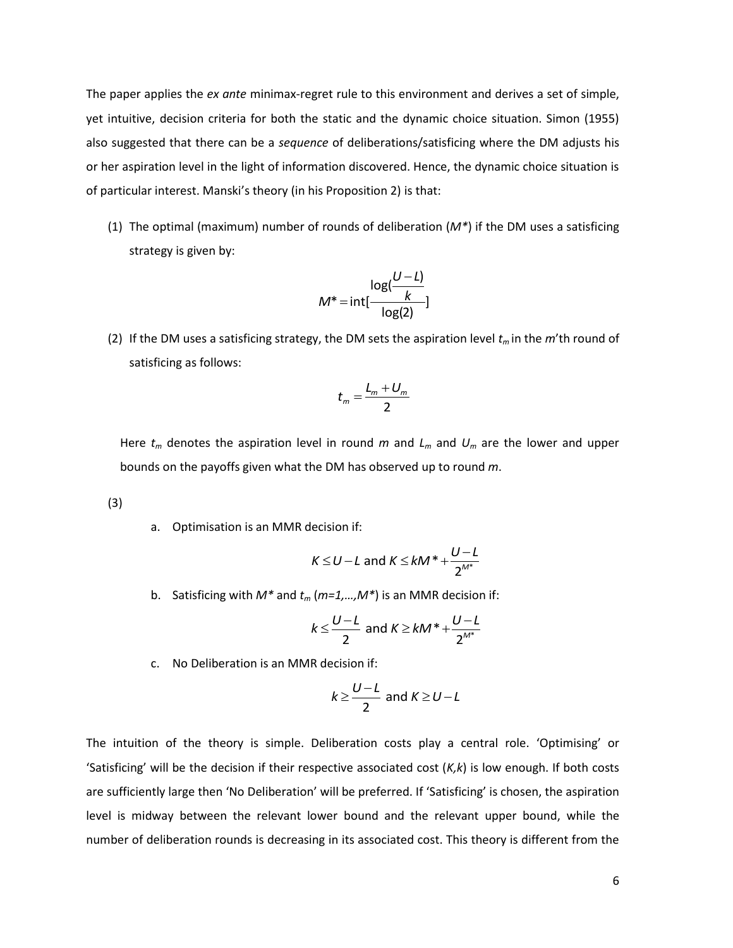The paper applies the *ex ante* minimax-regret rule to this environment and derives a set of simple, yet intuitive, decision criteria for both the static and the dynamic choice situation. Simon (1955) also suggested that there can be a *sequence* of deliberations/satisficing where the DM adjusts his or her aspiration level in the light of information discovered. Hence, the dynamic choice situation is of particular interest. Manski's theory (in his Proposition 2) is that:

(1) The optimal (maximum) number of rounds of deliberation (*M\**) if the DM uses a satisficing strategy is given by:

$$
M^* = \text{int} \left[ \frac{\log(\frac{U - L)}{k}}{\log(2)} \right]
$$

(2) If the DM uses a satisficing strategy, the DM sets the aspiration level *t<sup>m</sup>* in the *m*'th round of satisficing as follows:

$$
t_m = \frac{L_m + U_m}{2}
$$

Here *t<sup>m</sup>* denotes the aspiration level in round *m* and *L<sup>m</sup>* and *U<sup>m</sup>* are the lower and upper bounds on the payoffs given what the DM has observed up to round *m*.

(3)

a. Optimisation is an MMR decision if:

$$
K \leq U - L \text{ and } K \leq kM^* + \frac{U - L}{2^{M^*}}
$$

b. Satisficing with  $M^*$  and  $t_m$  ( $m=1,...,M^*$ ) is an MMR decision if:

$$
k \leq \frac{U - L}{2} \text{ and } K \geq kM^* + \frac{U - L}{2^{M^*}}
$$

c. No Deliberation is an MMR decision if:

$$
k \geq \frac{U - L}{2}
$$
 and  $K \geq U - L$ 

The intuition of the theory is simple. Deliberation costs play a central role. 'Optimising' or 'Satisficing' will be the decision if their respective associated cost (*K,k*) is low enough. If both costs are sufficiently large then 'No Deliberation' will be preferred. If 'Satisficing' is chosen, the aspiration level is midway between the relevant lower bound and the relevant upper bound, while the number of deliberation rounds is decreasing in its associated cost. This theory is different from the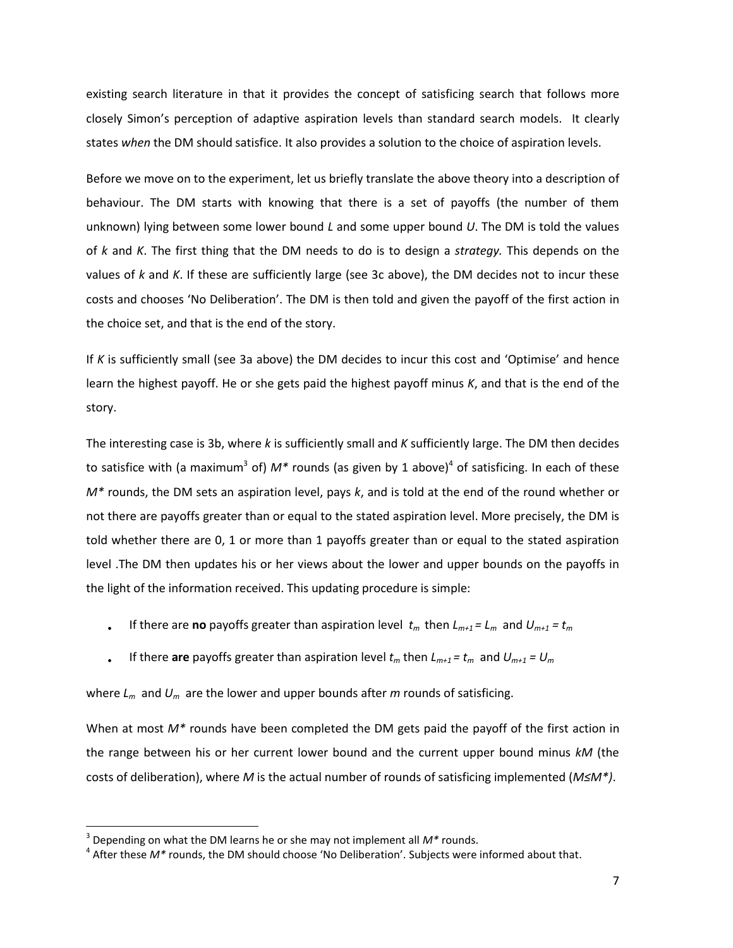existing search literature in that it provides the concept of satisficing search that follows more closely Simon's perception of adaptive aspiration levels than standard search models. It clearly states *when* the DM should satisfice. It also provides a solution to the choice of aspiration levels.

Before we move on to the experiment, let us briefly translate the above theory into a description of behaviour. The DM starts with knowing that there is a set of payoffs (the number of them unknown) lying between some lower bound *L* and some upper bound *U*. The DM is told the values of *k* and *K*. The first thing that the DM needs to do is to design a *strategy.* This depends on the values of *k* and *K*. If these are sufficiently large (see 3c above), the DM decides not to incur these costs and chooses 'No Deliberation'. The DM is then told and given the payoff of the first action in the choice set, and that is the end of the story.

If *K* is sufficiently small (see 3a above) the DM decides to incur this cost and 'Optimise' and hence learn the highest payoff. He or she gets paid the highest payoff minus *K*, and that is the end of the story.

The interesting case is 3b, where *k* is sufficiently small and *K* sufficiently large. The DM then decides to satisfice with (a maximum<sup>3</sup> of) M\* rounds (as given by 1 above)<sup>4</sup> of satisficing. In each of these *M\** rounds, the DM sets an aspiration level, pays *k*, and is told at the end of the round whether or not there are payoffs greater than or equal to the stated aspiration level. More precisely, the DM is told whether there are 0, 1 or more than 1 payoffs greater than or equal to the stated aspiration level .The DM then updates his or her views about the lower and upper bounds on the payoffs in the light of the information received. This updating procedure is simple:

- If there are **no** payoffs greater than aspiration level  $t_m$  then  $L_{m+1} = L_m$  and  $U_{m+1} = t_m$
- If there are payoffs greater than aspiration level  $t_m$  then  $L_{m+1} = t_m$  and  $U_{m+1} = U_m$

where  $L_m$  and  $U_m$  are the lower and upper bounds after *m* rounds of satisficing.

When at most  $M^*$  rounds have been completed the DM gets paid the payoff of the first action in the range between his or her current lower bound and the current upper bound minus *kM* (the costs of deliberation), where *M* is the actual number of rounds of satisficing implemented (*M≤M\*)*.

<sup>3</sup> Depending on what the DM learns he or she may not implement all *M\** rounds.

<sup>4</sup> After these *M\** rounds, the DM should choose 'No Deliberation'. Subjects were informed about that.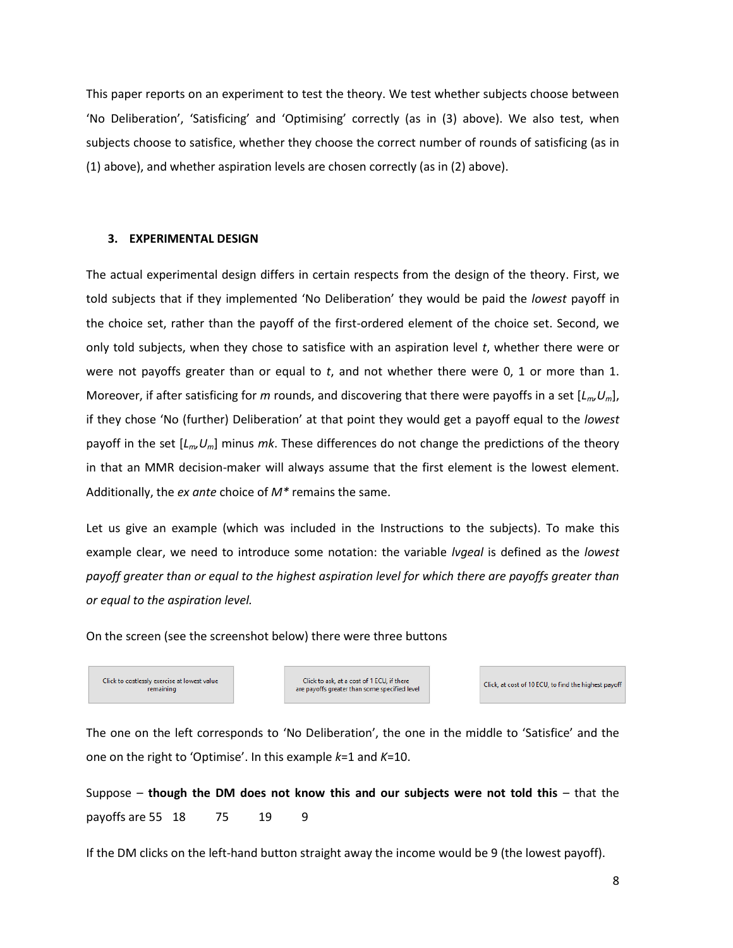This paper reports on an experiment to test the theory. We test whether subjects choose between 'No Deliberation', 'Satisficing' and 'Optimising' correctly (as in (3) above). We also test, when subjects choose to satisfice, whether they choose the correct number of rounds of satisficing (as in (1) above), and whether aspiration levels are chosen correctly (as in (2) above).

#### **3. EXPERIMENTAL DESIGN**

The actual experimental design differs in certain respects from the design of the theory. First, we told subjects that if they implemented 'No Deliberation' they would be paid the *lowest* payoff in the choice set, rather than the payoff of the first-ordered element of the choice set. Second, we only told subjects, when they chose to satisfice with an aspiration level *t*, whether there were or were not payoffs greater than or equal to *t*, and not whether there were 0, 1 or more than 1. Moreover, if after satisficing for *m* rounds, and discovering that there were payoffs in a set [*Lm,Um*], if they chose 'No (further) Deliberation' at that point they would get a payoff equal to the *lowest* payoff in the set [*Lm,Um*] minus *mk*. These differences do not change the predictions of the theory in that an MMR decision-maker will always assume that the first element is the lowest element. Additionally, the *ex ante* choice of *M\** remains the same.

Let us give an example (which was included in the Instructions to the subjects). To make this example clear, we need to introduce some notation: the variable *lvgeal* is defined as the *lowest payoff greater than or equal to the highest aspiration level for which there are payoffs greater than or equal to the aspiration level.* 

On the screen (see the screenshot below) there were three buttons

Click to costlessly exercise at lowest value remaining

Click to ask, at a cost of 1 ECU, if there are payoffs greater than some specified level

Click, at cost of 10 FCU, to find the highest payoff

The one on the left corresponds to 'No Deliberation', the one in the middle to 'Satisfice' and the one on the right to 'Optimise'. In this example *k*=1 and *K*=10.

Suppose – **though the DM does not know this and our subjects were not told this** – that the payoffs are 55 18 75 19 9

If the DM clicks on the left-hand button straight away the income would be 9 (the lowest payoff).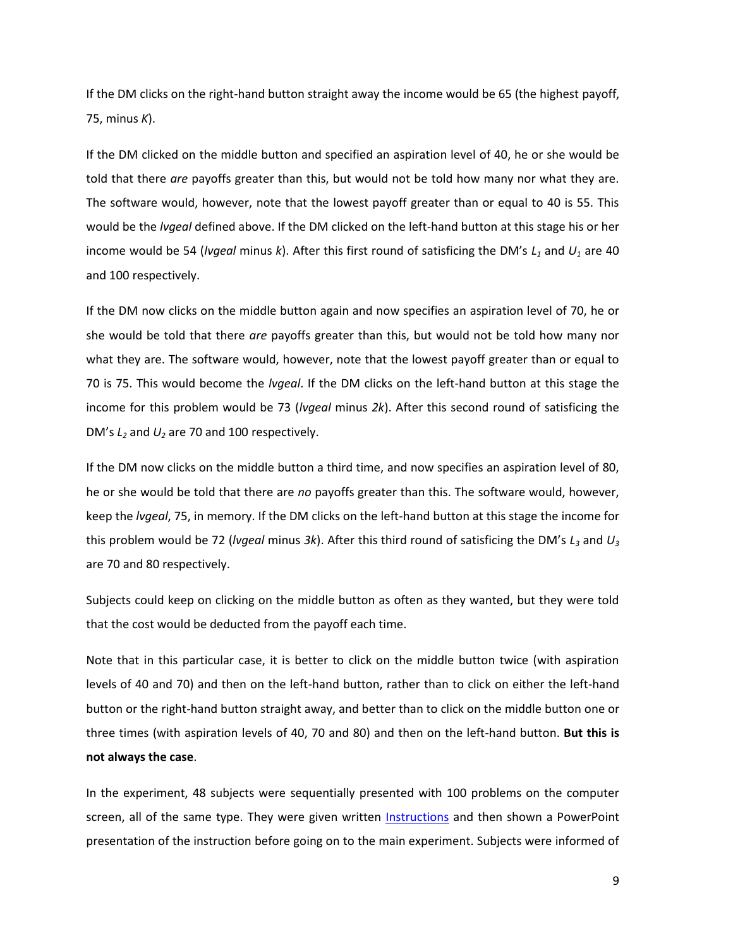If the DM clicks on the right-hand button straight away the income would be 65 (the highest payoff, 75, minus *K*).

If the DM clicked on the middle button and specified an aspiration level of 40, he or she would be told that there *are* payoffs greater than this, but would not be told how many nor what they are. The software would, however, note that the lowest payoff greater than or equal to 40 is 55. This would be the *lvgeal* defined above. If the DM clicked on the left-hand button at this stage his or her income would be 54 (*lvgeal* minus *k*). After this first round of satisficing the DM's *L<sup>1</sup>* and *U<sup>1</sup>* are 40 and 100 respectively.

If the DM now clicks on the middle button again and now specifies an aspiration level of 70, he or she would be told that there *are* payoffs greater than this, but would not be told how many nor what they are. The software would, however, note that the lowest payoff greater than or equal to 70 is 75. This would become the *lvgeal*. If the DM clicks on the left-hand button at this stage the income for this problem would be 73 (*lvgeal* minus *2k*). After this second round of satisficing the DM's *L<sup>2</sup>* and *U<sup>2</sup>* are 70 and 100 respectively.

If the DM now clicks on the middle button a third time, and now specifies an aspiration level of 80, he or she would be told that there are *no* payoffs greater than this. The software would, however, keep the *lvgeal*, 75, in memory. If the DM clicks on the left-hand button at this stage the income for this problem would be 72 (*lvgeal* minus *3k*). After this third round of satisficing the DM's *L<sup>3</sup>* and *U<sup>3</sup>* are 70 and 80 respectively.

Subjects could keep on clicking on the middle button as often as they wanted, but they were told that the cost would be deducted from the payoff each time.

Note that in this particular case, it is better to click on the middle button twice (with aspiration levels of 40 and 70) and then on the left-hand button, rather than to click on either the left-hand button or the right-hand button straight away, and better than to click on the middle button one or three times (with aspiration levels of 40, 70 and 80) and then on the left-hand button. **But this is not always the case**.

In the experiment, 48 subjects were sequentially presented with 100 problems on the computer screen, all of the same type. They were given written **Instructions** and then shown a PowerPoint presentation of the instruction before going on to the main experiment. Subjects were informed of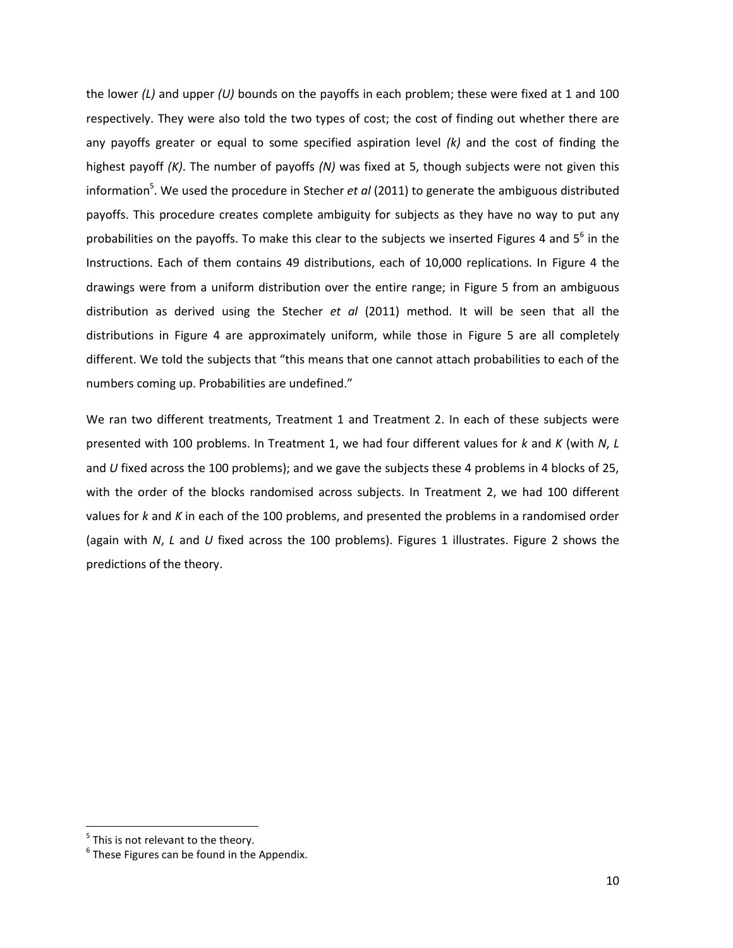the lower *(L)* and upper *(U)* bounds on the payoffs in each problem; these were fixed at 1 and 100 respectively. They were also told the two types of cost; the cost of finding out whether there are any payoffs greater or equal to some specified aspiration level *(k)* and the cost of finding the highest payoff *(K)*. The number of payoffs *(N)* was fixed at 5, though subjects were not given this information<sup>5</sup>. We used the procedure in Stecher *et al* (2011) to generate the ambiguous distributed payoffs. This procedure creates complete ambiguity for subjects as they have no way to put any probabilities on the payoffs. To make this clear to the subjects we inserted Figures 4 and 5<sup>6</sup> in the Instructions. Each of them contains 49 distributions, each of 10,000 replications. In Figure 4 the drawings were from a uniform distribution over the entire range; in Figure 5 from an ambiguous distribution as derived using the Stecher *et al* (2011) method. It will be seen that all the distributions in Figure 4 are approximately uniform, while those in Figure 5 are all completely different. We told the subjects that "this means that one cannot attach probabilities to each of the numbers coming up. Probabilities are undefined."

We ran two different treatments, Treatment 1 and Treatment 2. In each of these subjects were presented with 100 problems. In Treatment 1, we had four different values for *k* and *K* (with *N*, *L*  and *U* fixed across the 100 problems); and we gave the subjects these 4 problems in 4 blocks of 25, with the order of the blocks randomised across subjects. In Treatment 2, we had 100 different values for *k* and *K* in each of the 100 problems, and presented the problems in a randomised order (again with *N*, *L* and *U* fixed across the 100 problems). Figures 1 illustrates. Figure 2 shows the predictions of the theory.

 $<sup>5</sup>$  This is not relevant to the theory.</sup>

 $^6$  These Figures can be found in the Appendix.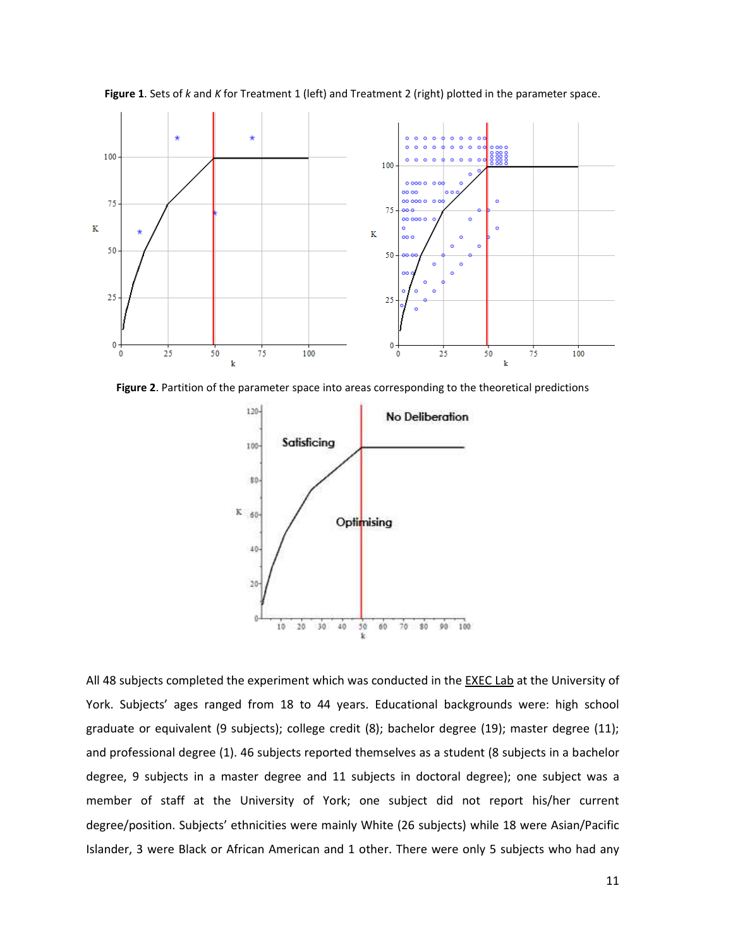

**Figure 1**. Sets of *k* and *K* for Treatment 1 (left) and Treatment 2 (right) plotted in the parameter space.

**Figure 2**. Partition of the parameter space into areas corresponding to the theoretical predictions



All 48 subjects completed the experiment which was conducted in th[e EXEC Lab](https://www.york.ac.uk/economics/research/centres/experimental-economics/) at the University of York. Subjects' ages ranged from 18 to 44 years. Educational backgrounds were: high school graduate or equivalent (9 subjects); college credit (8); bachelor degree (19); master degree (11); and professional degree (1). 46 subjects reported themselves as a student (8 subjects in a bachelor degree, 9 subjects in a master degree and 11 subjects in doctoral degree); one subject was a member of staff at the University of York; one subject did not report his/her current degree/position. Subjects' ethnicities were mainly White (26 subjects) while 18 were Asian/Pacific Islander, 3 were Black or African American and 1 other. There were only 5 subjects who had any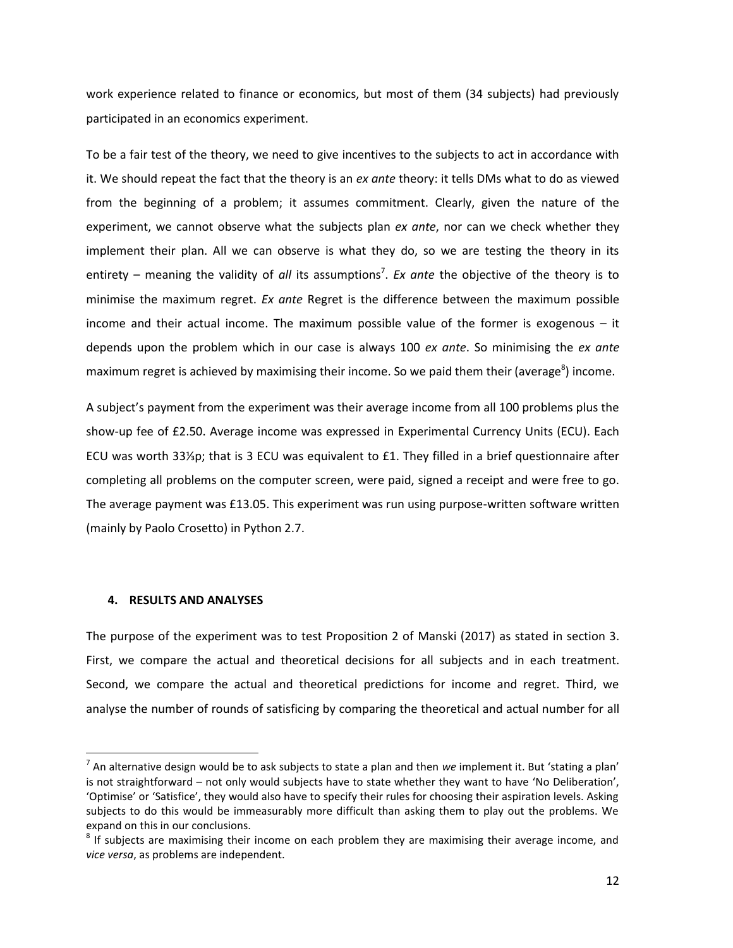work experience related to finance or economics, but most of them (34 subjects) had previously participated in an economics experiment.

To be a fair test of the theory, we need to give incentives to the subjects to act in accordance with it. We should repeat the fact that the theory is an *ex ante* theory: it tells DMs what to do as viewed from the beginning of a problem; it assumes commitment. Clearly, given the nature of the experiment, we cannot observe what the subjects plan *ex ante*, nor can we check whether they implement their plan. All we can observe is what they do, so we are testing the theory in its entirety – meaning the validity of *all* its assumptions<sup>7</sup>. *Ex ante* the objective of the theory is to minimise the maximum regret. *Ex ante* Regret is the difference between the maximum possible income and their actual income. The maximum possible value of the former is exogenous – it depends upon the problem which in our case is always 100 *ex ante*. So minimising the *ex ante* maximum regret is achieved by maximising their income. So we paid them their (average<sup>8</sup>) income.

A subject's payment from the experiment was their average income from all 100 problems plus the show-up fee of £2.50. Average income was expressed in Experimental Currency Units (ECU). Each ECU was worth 33⅓p; that is 3 ECU was equivalent to £1. They filled in a brief questionnaire after completing all problems on the computer screen, were paid, signed a receipt and were free to go. The average payment was £13.05. This experiment was run using purpose-written software written (mainly by Paolo Crosetto) in Python 2.7.

### **4. RESULTS AND ANALYSES**

 $\overline{\phantom{0}}$ 

The purpose of the experiment was to test Proposition 2 of Manski (2017) as stated in section 3. First, we compare the actual and theoretical decisions for all subjects and in each treatment. Second, we compare the actual and theoretical predictions for income and regret. Third, we analyse the number of rounds of satisficing by comparing the theoretical and actual number for all

<sup>7</sup> An alternative design would be to ask subjects to state a plan and then *we* implement it. But 'stating a plan' is not straightforward – not only would subjects have to state whether they want to have 'No Deliberation', 'Optimise' or 'Satisfice', they would also have to specify their rules for choosing their aspiration levels. Asking subjects to do this would be immeasurably more difficult than asking them to play out the problems. We expand on this in our conclusions.

 $^8$  If subjects are maximising their income on each problem they are maximising their average income, and *vice versa*, as problems are independent.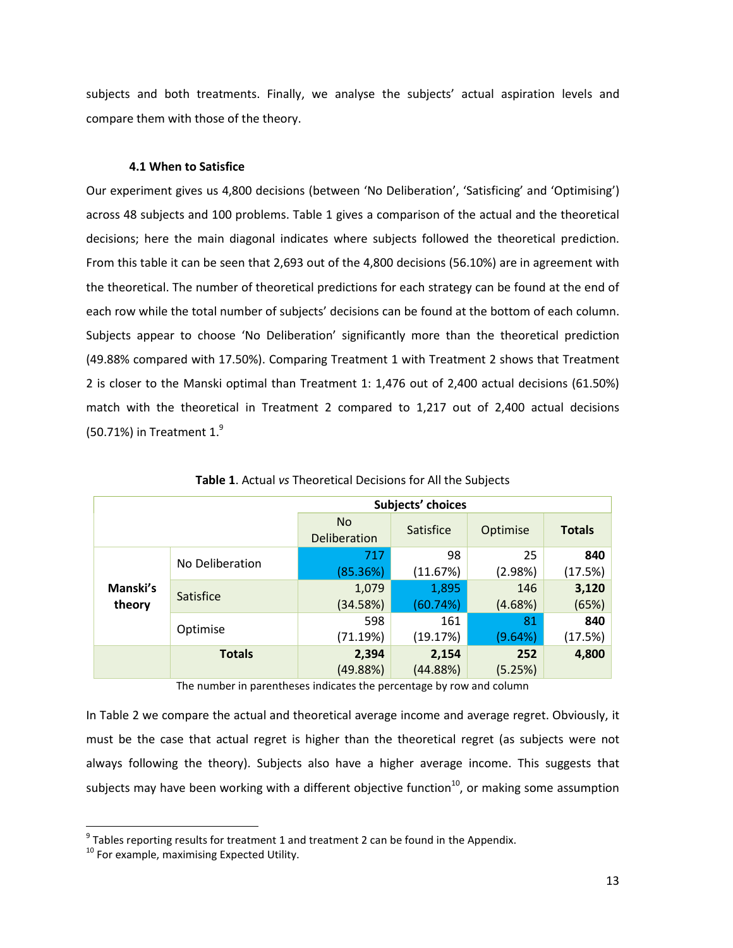subjects and both treatments. Finally, we analyse the subjects' actual aspiration levels and compare them with those of the theory.

#### **4.1 When to Satisfice**

Our experiment gives us 4,800 decisions (between 'No Deliberation', 'Satisficing' and 'Optimising') across 48 subjects and 100 problems. Table 1 gives a comparison of the actual and the theoretical decisions; here the main diagonal indicates where subjects followed the theoretical prediction. From this table it can be seen that 2,693 out of the 4,800 decisions (56.10%) are in agreement with the theoretical. The number of theoretical predictions for each strategy can be found at the end of each row while the total number of subjects' decisions can be found at the bottom of each column. Subjects appear to choose 'No Deliberation' significantly more than the theoretical prediction (49.88% compared with 17.50%). Comparing Treatment 1 with Treatment 2 shows that Treatment 2 is closer to the Manski optimal than Treatment 1: 1,476 out of 2,400 actual decisions (61.50%) match with the theoretical in Treatment 2 compared to 1,217 out of 2,400 actual decisions (50.71%) in Treatment  $1<sup>9</sup>$ 

| Subjects' choices  |                  |                    |           |          |               |  |  |
|--------------------|------------------|--------------------|-----------|----------|---------------|--|--|
|                    |                  | No<br>Deliberation | Satisfice | Optimise | <b>Totals</b> |  |  |
|                    | No Deliberation  | 717                | 98        | 25       | 840           |  |  |
| Manski's<br>theory |                  | (85.36%)           | (11.67%)  | (2.98%)  | (17.5%)       |  |  |
|                    | <b>Satisfice</b> | 1,079              | 1,895     | 146      | 3,120         |  |  |
|                    |                  | (34.58%)           | (60.74%)  | (4.68%)  | (65%)         |  |  |
|                    |                  | 598                | 161       | 81       | 840           |  |  |
|                    | Optimise         | (71.19%)           | (19.17%)  | (9.64%)  | (17.5%)       |  |  |
|                    | <b>Totals</b>    | 2,394              | 2,154     | 252      | 4,800         |  |  |
|                    |                  | (49.88%)           | (44.88%)  | (5.25%)  |               |  |  |

**Table 1**. Actual *vs* Theoretical Decisions for All the Subjects

The number in parentheses indicates the percentage by row and column

In Table 2 we compare the actual and theoretical average income and average regret. Obviously, it must be the case that actual regret is higher than the theoretical regret (as subjects were not always following the theory). Subjects also have a higher average income. This suggests that subjects may have been working with a different objective function<sup>10</sup>, or making some assumption

 $9$  Tables reporting results for treatment 1 and treatment 2 can be found in the Appendix.

<sup>&</sup>lt;sup>10</sup> For example, maximising Expected Utility.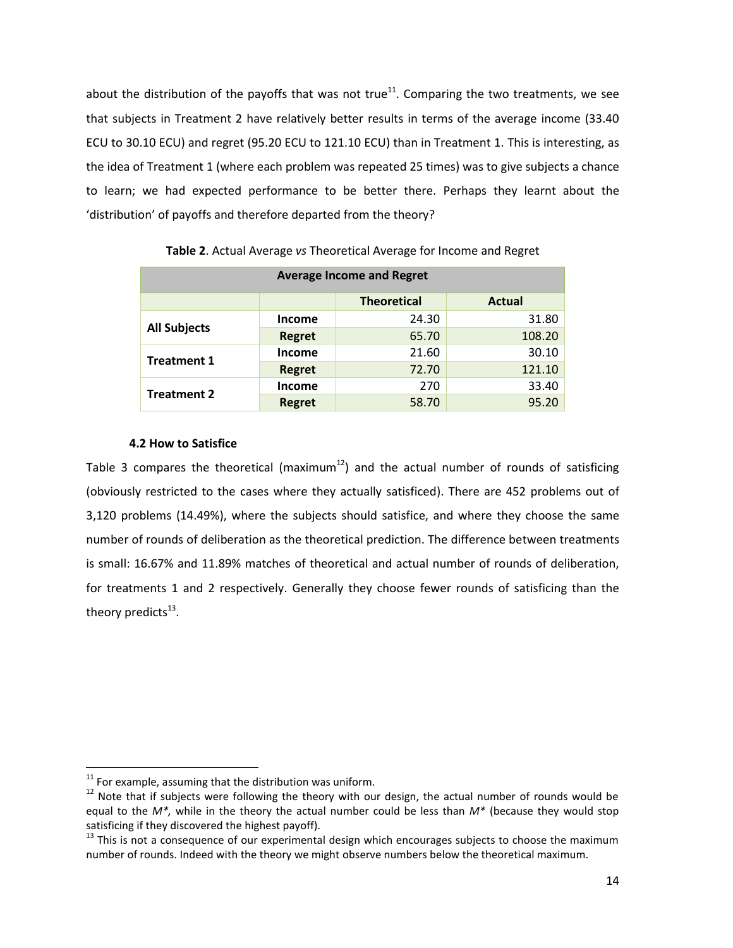about the distribution of the payoffs that was not true<sup>11</sup>. Comparing the two treatments, we see that subjects in Treatment 2 have relatively better results in terms of the average income (33.40 ECU to 30.10 ECU) and regret (95.20 ECU to 121.10 ECU) than in Treatment 1. This is interesting, as the idea of Treatment 1 (where each problem was repeated 25 times) was to give subjects a chance to learn; we had expected performance to be better there. Perhaps they learnt about the 'distribution' of payoffs and therefore departed from the theory?

| <b>Average Income and Regret</b> |               |                    |               |  |  |  |  |
|----------------------------------|---------------|--------------------|---------------|--|--|--|--|
|                                  |               | <b>Theoretical</b> | <b>Actual</b> |  |  |  |  |
| <b>All Subjects</b>              | <b>Income</b> | 24.30              | 31.80         |  |  |  |  |
|                                  | <b>Regret</b> | 65.70              | 108.20        |  |  |  |  |
| <b>Treatment 1</b>               | <b>Income</b> | 21.60              | 30.10         |  |  |  |  |
|                                  | <b>Regret</b> | 72.70              | 121.10        |  |  |  |  |
| <b>Treatment 2</b>               | <b>Income</b> | 270                | 33.40         |  |  |  |  |
|                                  | <b>Regret</b> | 58.70              | 95.20         |  |  |  |  |

**Table 2**. Actual Average *vs* Theoretical Average for Income and Regret

### **4.2 How to Satisfice**

Table 3 compares the theoretical (maximum<sup>12</sup>) and the actual number of rounds of satisficing (obviously restricted to the cases where they actually satisficed). There are 452 problems out of 3,120 problems (14.49%), where the subjects should satisfice, and where they choose the same number of rounds of deliberation as the theoretical prediction. The difference between treatments is small: 16.67% and 11.89% matches of theoretical and actual number of rounds of deliberation, for treatments 1 and 2 respectively. Generally they choose fewer rounds of satisficing than the theory predicts<sup>13</sup>.

 $\overline{a}$ 

 $11$  For example, assuming that the distribution was uniform.

 $12$  Note that if subjects were following the theory with our design, the actual number of rounds would be equal to the *M\*,* while in the theory the actual number could be less than *M\** (because they would stop satisficing if they discovered the highest payoff).

 $13$  This is not a consequence of our experimental design which encourages subjects to choose the maximum number of rounds. Indeed with the theory we might observe numbers below the theoretical maximum.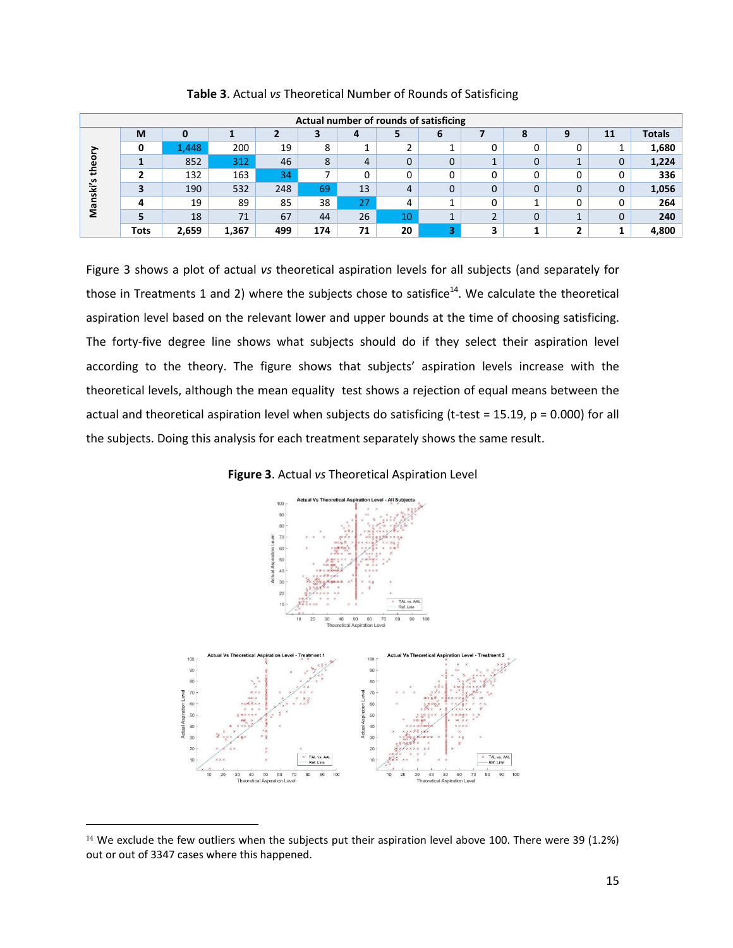|        | Actual number of rounds of satisficing |       |       |     |     |    |    |   |   |   |   |              |               |
|--------|----------------------------------------|-------|-------|-----|-----|----|----|---|---|---|---|--------------|---------------|
|        | M                                      | o     |       |     | з   | 4  |    | 6 |   | 8 |   | 11           | <b>Totals</b> |
|        | 0                                      | 1,448 | 200   | 19  | 8   |    |    |   |   |   | 0 |              | 1,680         |
| Φ      |                                        | 852   | 312   | 46  | 8   | 4  | 0  | 0 |   |   |   | $\mathbf{0}$ | 1,224         |
| €<br>s |                                        | 132   | 163   | 34  |     |    |    | 0 |   |   | 0 | 0            | 336           |
| śki    | 3                                      | 190   | 532   | 248 | 69  | 13 | 4  | 0 | O |   | 0 | $\Omega$     | 1,056         |
| āΝ     |                                        | 19    | 89    | 85  | 38  | 27 | 4  |   |   |   | 0 | $\Omega$     | 264           |
|        | 5                                      | 18    | 71    | 67  | 44  | 26 | 10 | ᅩ |   |   |   | $\mathbf{0}$ | 240           |
|        | <b>Tots</b>                            | 2,659 | 1,367 | 499 | 174 | 71 | 20 | 3 | 3 |   | 2 |              | 4,800         |

**Table 3**. Actual *vs* Theoretical Number of Rounds of Satisficing

Figure 3 shows a plot of actual *vs* theoretical aspiration levels for all subjects (and separately for those in Treatments 1 and 2) where the subjects chose to satisfice<sup>14</sup>. We calculate the theoretical aspiration level based on the relevant lower and upper bounds at the time of choosing satisficing. The forty-five degree line shows what subjects should do if they select their aspiration level according to the theory. The figure shows that subjects' aspiration levels increase with the theoretical levels, although the mean equality test shows a rejection of equal means between the actual and theoretical aspiration level when subjects do satisficing (t-test = 15.19, p = 0.000) for all the subjects. Doing this analysis for each treatment separately shows the same result.

**Figure 3**. Actual *vs* Theoretical Aspiration Level



<sup>&</sup>lt;sup>14</sup> We exclude the few outliers when the subjects put their aspiration level above 100. There were 39 (1.2%) out or out of 3347 cases where this happened.

l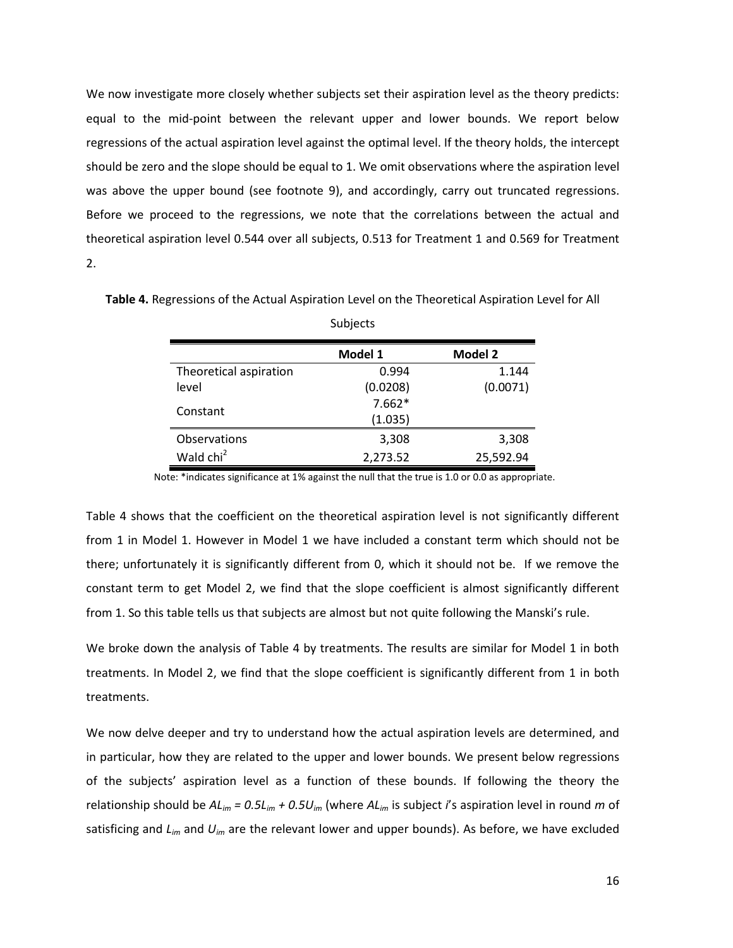We now investigate more closely whether subjects set their aspiration level as the theory predicts: equal to the mid-point between the relevant upper and lower bounds. We report below regressions of the actual aspiration level against the optimal level. If the theory holds, the intercept should be zero and the slope should be equal to 1. We omit observations where the aspiration level was above the upper bound (see footnote 9), and accordingly, carry out truncated regressions. Before we proceed to the regressions, we note that the correlations between the actual and theoretical aspiration level 0.544 over all subjects, 0.513 for Treatment 1 and 0.569 for Treatment 2.

|                        | Model 1  | <b>Model 2</b> |
|------------------------|----------|----------------|
| Theoretical aspiration | 0.994    | 1.144          |
| level                  | (0.0208) | (0.0071)       |
|                        | $7.662*$ |                |
| Constant               | (1.035)  |                |
| Observations           | 3,308    | 3,308          |
| Wald chi <sup>2</sup>  | 2,273.52 | 25,592.94      |

**Table 4.** Regressions of the Actual Aspiration Level on the Theoretical Aspiration Level for All Subjects

Note: \*indicates significance at 1% against the null that the true is 1.0 or 0.0 as appropriate.

Table 4 shows that the coefficient on the theoretical aspiration level is not significantly different from 1 in Model 1. However in Model 1 we have included a constant term which should not be there; unfortunately it is significantly different from 0, which it should not be. If we remove the constant term to get Model 2, we find that the slope coefficient is almost significantly different from 1. So this table tells us that subjects are almost but not quite following the Manski's rule.

We broke down the analysis of Table 4 by treatments. The results are similar for Model 1 in both treatments. In Model 2, we find that the slope coefficient is significantly different from 1 in both treatments.

We now delve deeper and try to understand how the actual aspiration levels are determined, and in particular, how they are related to the upper and lower bounds. We present below regressions of the subjects' aspiration level as a function of these bounds. If following the theory the relationship should be *ALim = 0.5Lim + 0.5Uim* (where *ALim* is subject *i*'s aspiration level in round *m* of satisficing and *Lim* and *Uim* are the relevant lower and upper bounds). As before, we have excluded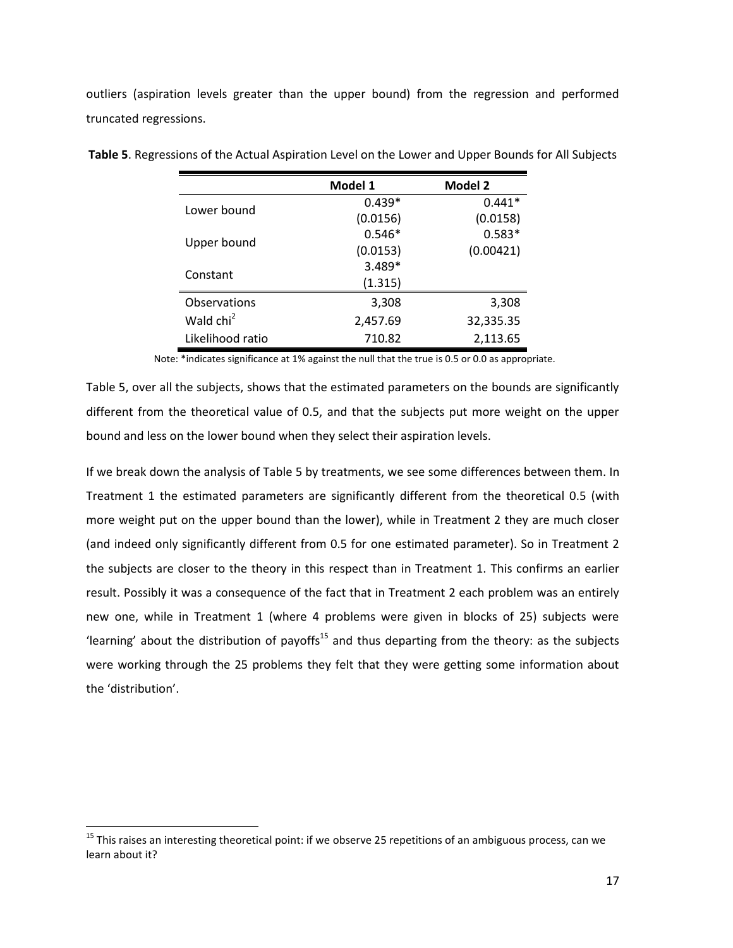outliers (aspiration levels greater than the upper bound) from the regression and performed truncated regressions.

|                       | Model 1  | <b>Model 2</b> |
|-----------------------|----------|----------------|
| Lower bound           | $0.439*$ | $0.441*$       |
|                       | (0.0156) | (0.0158)       |
|                       | $0.546*$ | $0.583*$       |
| Upper bound           | (0.0153) | (0.00421)      |
| Constant              | 3.489*   |                |
|                       | (1.315)  |                |
| Observations          | 3,308    | 3,308          |
| Wald chi <sup>2</sup> | 2,457.69 | 32,335.35      |
| Likelihood ratio      | 710.82   | 2,113.65       |

**Table 5**. Regressions of the Actual Aspiration Level on the Lower and Upper Bounds for All Subjects

Note: \*indicates significance at 1% against the null that the true is 0.5 or 0.0 as appropriate.

Table 5, over all the subjects, shows that the estimated parameters on the bounds are significantly different from the theoretical value of 0.5, and that the subjects put more weight on the upper bound and less on the lower bound when they select their aspiration levels.

If we break down the analysis of Table 5 by treatments, we see some differences between them. In Treatment 1 the estimated parameters are significantly different from the theoretical 0.5 (with more weight put on the upper bound than the lower), while in Treatment 2 they are much closer (and indeed only significantly different from 0.5 for one estimated parameter). So in Treatment 2 the subjects are closer to the theory in this respect than in Treatment 1. This confirms an earlier result. Possibly it was a consequence of the fact that in Treatment 2 each problem was an entirely new one, while in Treatment 1 (where 4 problems were given in blocks of 25) subjects were 'learning' about the distribution of payoffs<sup>15</sup> and thus departing from the theory: as the subjects were working through the 25 problems they felt that they were getting some information about the 'distribution'.

<sup>&</sup>lt;sup>15</sup> This raises an interesting theoretical point: if we observe 25 repetitions of an ambiguous process, can we learn about it?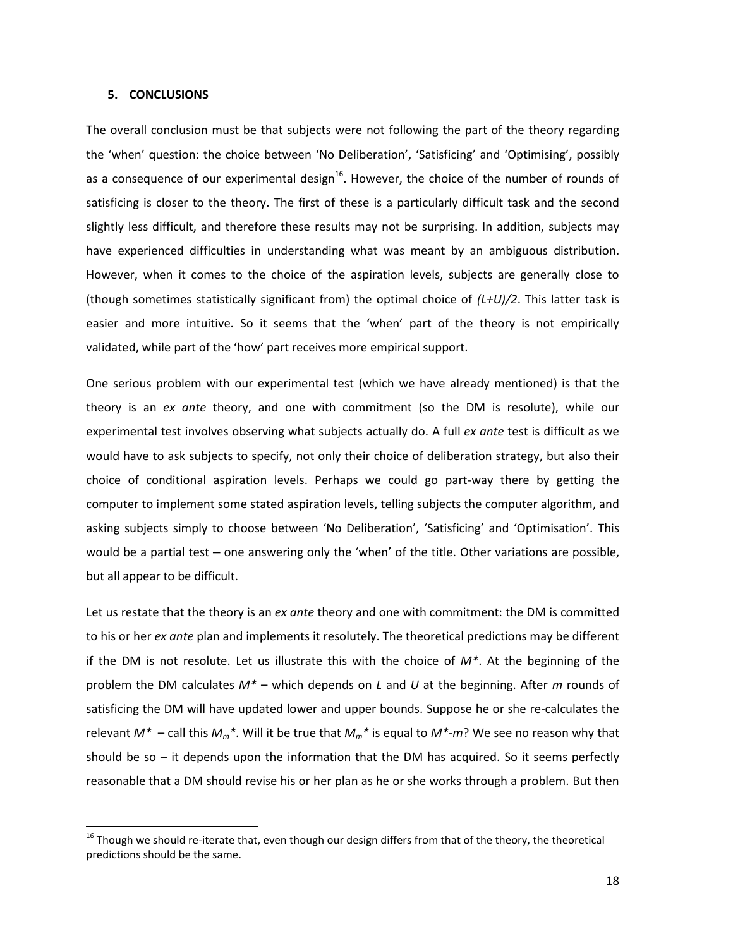#### **5. CONCLUSIONS**

 $\overline{\phantom{0}}$ 

The overall conclusion must be that subjects were not following the part of the theory regarding the 'when' question: the choice between 'No Deliberation', 'Satisficing' and 'Optimising', possibly as a consequence of our experimental design<sup>16</sup>. However, the choice of the number of rounds of satisficing is closer to the theory. The first of these is a particularly difficult task and the second slightly less difficult, and therefore these results may not be surprising. In addition, subjects may have experienced difficulties in understanding what was meant by an ambiguous distribution. However, when it comes to the choice of the aspiration levels, subjects are generally close to (though sometimes statistically significant from) the optimal choice of *(L+U)/2*. This latter task is easier and more intuitive. So it seems that the 'when' part of the theory is not empirically validated, while part of the 'how' part receives more empirical support.

One serious problem with our experimental test (which we have already mentioned) is that the theory is an *ex ante* theory, and one with commitment (so the DM is resolute), while our experimental test involves observing what subjects actually do. A full *ex ante* test is difficult as we would have to ask subjects to specify, not only their choice of deliberation strategy, but also their choice of conditional aspiration levels. Perhaps we could go part-way there by getting the computer to implement some stated aspiration levels, telling subjects the computer algorithm, and asking subjects simply to choose between 'No Deliberation', 'Satisficing' and 'Optimisation'. This would be a partial test – one answering only the 'when' of the title. Other variations are possible, but all appear to be difficult.

Let us restate that the theory is an *ex ante* theory and one with commitment: the DM is committed to his or her *ex ante* plan and implements it resolutely. The theoretical predictions may be different if the DM is not resolute. Let us illustrate this with the choice of *M\**. At the beginning of the problem the DM calculates *M\** – which depends on *L* and *U* at the beginning. After *m* rounds of satisficing the DM will have updated lower and upper bounds. Suppose he or she re-calculates the relevant  $M^*$  – call this  $M_m^*$ . Will it be true that  $M_m^*$  is equal to  $M^*$ - $m$ ? We see no reason why that should be so  $-$  it depends upon the information that the DM has acquired. So it seems perfectly reasonable that a DM should revise his or her plan as he or she works through a problem. But then

 $16$  Though we should re-iterate that, even though our design differs from that of the theory, the theoretical predictions should be the same.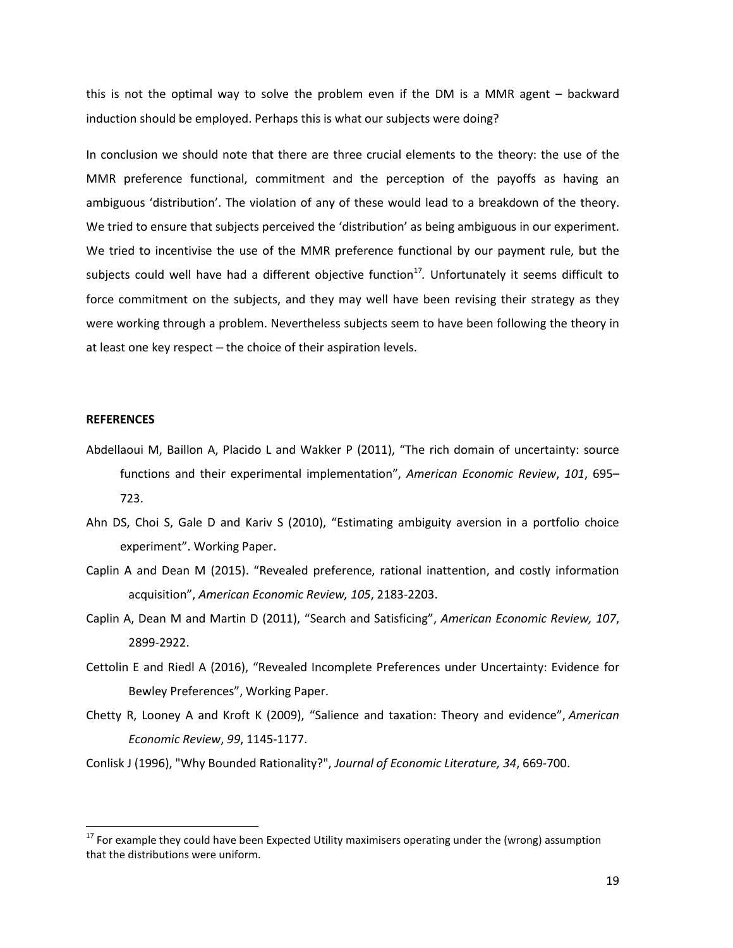this is not the optimal way to solve the problem even if the DM is a MMR agent – backward induction should be employed. Perhaps this is what our subjects were doing?

In conclusion we should note that there are three crucial elements to the theory: the use of the MMR preference functional, commitment and the perception of the payoffs as having an ambiguous 'distribution'. The violation of any of these would lead to a breakdown of the theory. We tried to ensure that subjects perceived the 'distribution' as being ambiguous in our experiment. We tried to incentivise the use of the MMR preference functional by our payment rule, but the subjects could well have had a different objective function<sup>17</sup>. Unfortunately it seems difficult to force commitment on the subjects, and they may well have been revising their strategy as they were working through a problem. Nevertheless subjects seem to have been following the theory in at least one key respect - the choice of their aspiration levels.

#### **REFERENCES**

- Abdellaoui M, Baillon A, Placido L and Wakker P (2011), "The rich domain of uncertainty: source functions and their experimental implementation", *American Economic Review*, *101*, 695– 723.
- Ahn DS, Choi S, Gale D and Kariv S (2010), "Estimating ambiguity aversion in a portfolio choice experiment". Working Paper.
- Caplin A and Dean M (2015). "Revealed preference, rational inattention, and costly information acquisition", *American Economic Review, 105*, 2183-2203.
- Caplin A, Dean M and Martin D (2011), "Search and Satisficing", *American Economic Review, 107*, 2899-2922.
- Cettolin E and Riedl A (2016), "Revealed Incomplete Preferences under Uncertainty: Evidence for Bewley Preferences", Working Paper.
- Chetty R, Looney A and Kroft K (2009), "Salience and taxation: Theory and evidence", *American Economic Review*, *99*, 1145-1177.
- Conlisk J (1996), "Why Bounded Rationality?", *Journal of Economic Literature, 34*, 669-700.

<sup>&</sup>lt;sup>17</sup> For example they could have been Expected Utility maximisers operating under the (wrong) assumption that the distributions were uniform.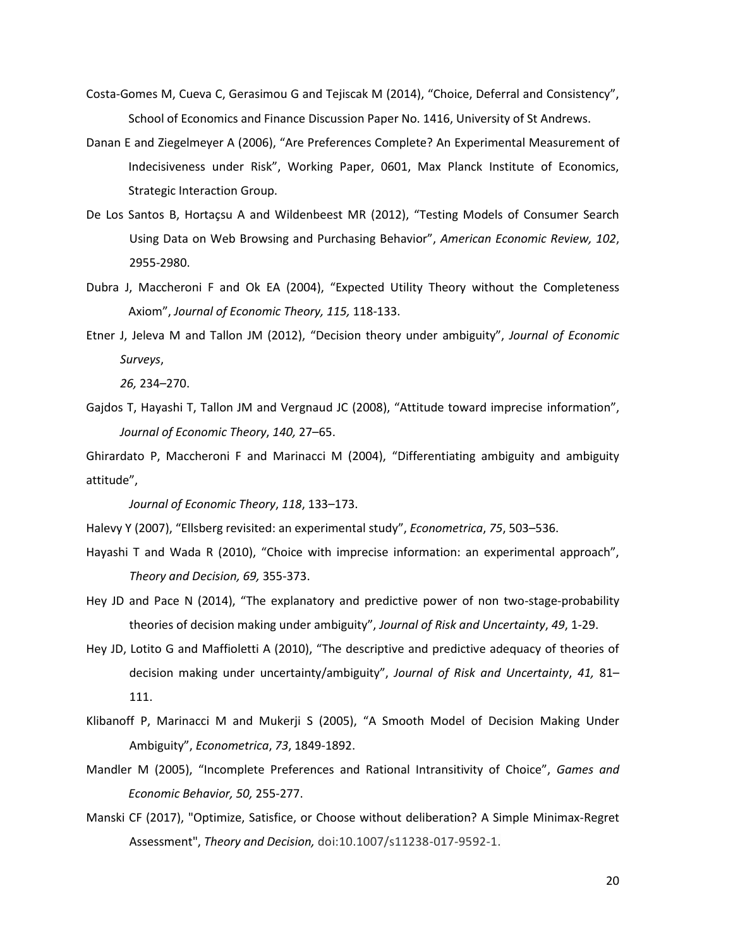- Costa-Gomes M, Cueva C, Gerasimou G and Tejiscak M (2014), "Choice, Deferral and Consistency", School of Economics and Finance Discussion Paper No. 1416, University of St Andrews.
- Danan E and Ziegelmeyer A (2006), "Are Preferences Complete? An Experimental Measurement of Indecisiveness under Risk", Working Paper, 0601, Max Planck Institute of Economics, Strategic Interaction Group.
- De Los Santos B, Hortaçsu A and Wildenbeest MR (2012), "Testing Models of Consumer Search Using Data on Web Browsing and Purchasing Behavior", *American Economic Review, 102*, 2955-2980.
- Dubra J, Maccheroni F and Ok EA (2004), "Expected Utility Theory without the Completeness Axiom", *Journal of Economic Theory, 115,* 118-133.
- Etner J, Jeleva M and Tallon JM (2012), "Decision theory under ambiguity", *Journal of Economic Surveys*,

*26,* 234–270.

Gajdos T, Hayashi T, Tallon JM and Vergnaud JC (2008), "Attitude toward imprecise information", *Journal of Economic Theory*, *140,* 27–65.

Ghirardato P, Maccheroni F and Marinacci M (2004), "Differentiating ambiguity and ambiguity attitude",

*Journal of Economic Theory*, *118*, 133–173.

Halevy Y (2007), "Ellsberg revisited: an experimental study", *Econometrica*, *75*, 503–536.

- Hayashi T and Wada R (2010), "Choice with imprecise information: an experimental approach", *Theory and Decision, 69,* 355-373.
- Hey JD and Pace N (2014), "The explanatory and predictive power of non two-stage-probability theories of decision making under ambiguity", *Journal of Risk and Uncertainty*, *49*, 1-29.
- Hey JD, Lotito G and Maffioletti A (2010), "The descriptive and predictive adequacy of theories of decision making under uncertainty/ambiguity", *Journal of Risk and Uncertainty*, *41,* 81– 111.
- Klibanoff P, Marinacci M and Mukerji S (2005), "A Smooth Model of Decision Making Under Ambiguity", *Econometrica*, *73*, 1849-1892.
- Mandler M (2005), "Incomplete Preferences and Rational Intransitivity of Choice", *Games and Economic Behavior, 50,* 255-277.
- Manski CF (2017), "Optimize, Satisfice, or Choose without deliberation? A Simple Minimax-Regret Assessment", *Theory and Decision,* doi:10.1007/s11238-017-9592-1.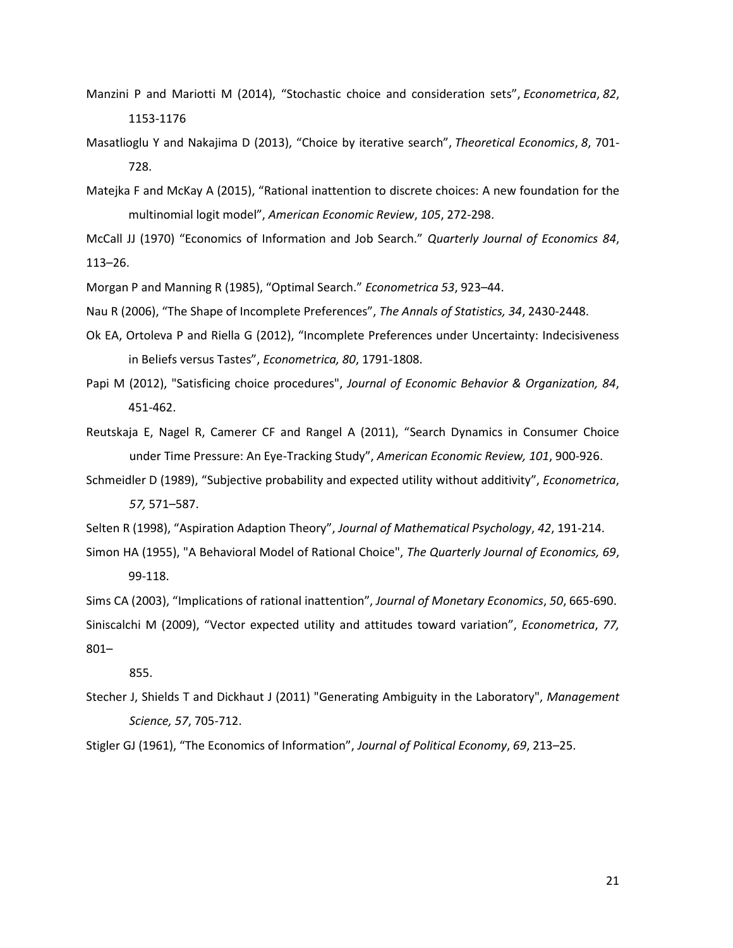- Manzini P and Mariotti M (2014), "Stochastic choice and consideration sets", *Econometrica*, *82*, 1153-1176
- Masatlioglu Y and Nakajima D (2013), "Choice by iterative search", *Theoretical Economics*, *8*, 701- 728.
- Matejka F and McKay A (2015), "Rational inattention to discrete choices: A new foundation for the multinomial logit model", *American Economic Review*, *105*, 272-298.

McCall JJ (1970) "Economics of Information and Job Search." *Quarterly Journal of Economics 84*, 113–26.

Morgan P and Manning R (1985), "Optimal Search." *Econometrica 53*, 923–44.

Nau R (2006), "The Shape of Incomplete Preferences", *The Annals of Statistics, 34*, 2430-2448.

- Ok EA, Ortoleva P and Riella G (2012), "Incomplete Preferences under Uncertainty: Indecisiveness in Beliefs versus Tastes", *Econometrica, 80*, 1791-1808.
- Papi M (2012), "Satisficing choice procedures", *Journal of Economic Behavior & Organization, 84*, 451-462.
- Reutskaja E, Nagel R, Camerer CF and Rangel A (2011), "Search Dynamics in Consumer Choice under Time Pressure: An Eye-Tracking Study", *American Economic Review, 101*, 900-926.
- Schmeidler D (1989), "Subjective probability and expected utility without additivity", *Econometrica*, *57,* 571–587.
- Selten R (1998), "Aspiration Adaption Theory", *Journal of Mathematical Psychology*, *42*, 191-214.
- Simon HA (1955), "A Behavioral Model of Rational Choice", *The Quarterly Journal of Economics, 69*, 99-118.

Sims CA (2003), "Implications of rational inattention", *Journal of Monetary Economics*, *50*, 665-690.

Siniscalchi M (2009), "Vector expected utility and attitudes toward variation", *Econometrica*, *77,* 801–

855.

Stecher J, Shields T and Dickhaut J (2011) "Generating Ambiguity in the Laboratory", *Management Science, 57*, 705-712.

Stigler GJ (1961), "The Economics of Information", *Journal of Political Economy*, *69*, 213–25.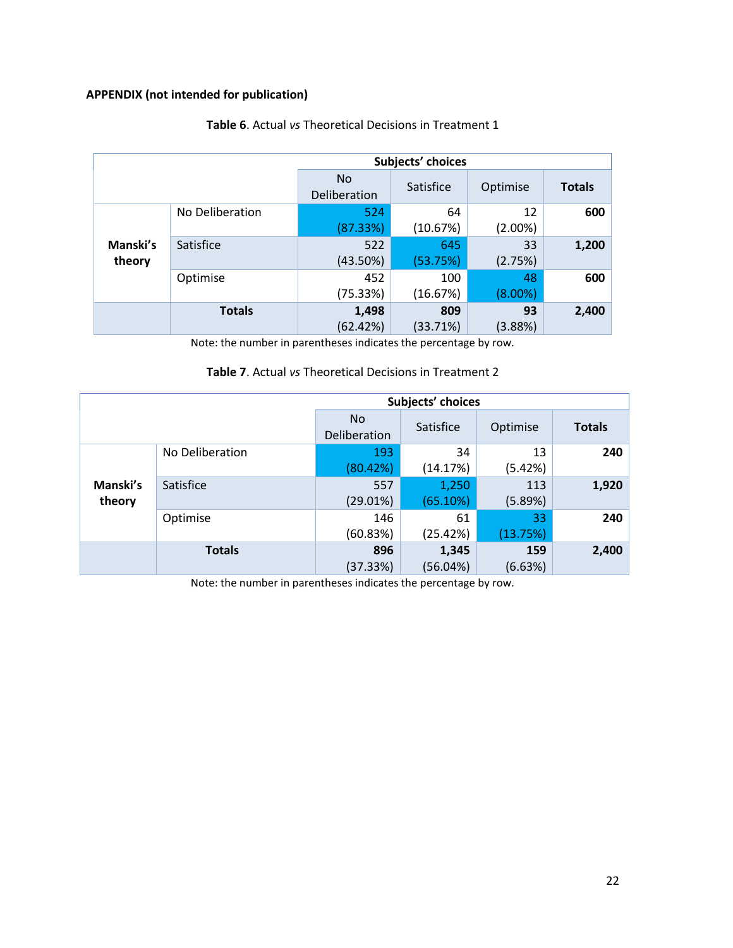## **APPENDIX (not intended for publication)**

|          | Subjects' choices |                           |           |            |               |  |  |
|----------|-------------------|---------------------------|-----------|------------|---------------|--|--|
|          |                   | <b>No</b><br>Deliberation | Satisfice | Optimise   | <b>Totals</b> |  |  |
|          | No Deliberation   | 524                       | 64        | 12         | 600           |  |  |
|          |                   | (87.33%)                  | (10.67%)  | $(2.00\%)$ |               |  |  |
| Manski's | Satisfice         | 522                       | 645       | 33         | 1,200         |  |  |
| theory   |                   | (43.50%)                  | (53.75%)  | (2.75%)    |               |  |  |
|          | Optimise          | 452                       | 100       | 48         | 600           |  |  |
|          |                   | (75.33%)                  | (16.67%)  | $(8.00\%)$ |               |  |  |
|          | <b>Totals</b>     | 1,498                     | 809       | 93         | 2,400         |  |  |
|          |                   | (62.42%)                  | (33.71%)  | (3.88%)    |               |  |  |

## **Table 6**. Actual *vs* Theoretical Decisions in Treatment 1

Note: the number in parentheses indicates the percentage by row.

## **Table 7**. Actual *vs* Theoretical Decisions in Treatment 2

|          | Subjects' choices |                     |           |          |               |  |  |
|----------|-------------------|---------------------|-----------|----------|---------------|--|--|
|          |                   | No.<br>Deliberation | Satisfice | Optimise | <b>Totals</b> |  |  |
|          | No Deliberation   | 193                 | 34        | 13       | 240           |  |  |
|          |                   | (80.42%)            | (14.17%)  | (5.42%)  |               |  |  |
| Manski's | Satisfice         | 557                 | 1,250     | 113      | 1,920         |  |  |
| theory   |                   | (29.01%)            | (65.10%)  | (5.89%)  |               |  |  |
|          | Optimise          | 146                 | 61        | 33       | 240           |  |  |
|          |                   | (60.83%)            | (25.42%)  | (13.75%) |               |  |  |
|          | <b>Totals</b>     | 896                 | 1,345     | 159      | 2,400         |  |  |
|          |                   | (37.33%)            | (56.04%)  | (6.63%)  |               |  |  |

Note: the number in parentheses indicates the percentage by row.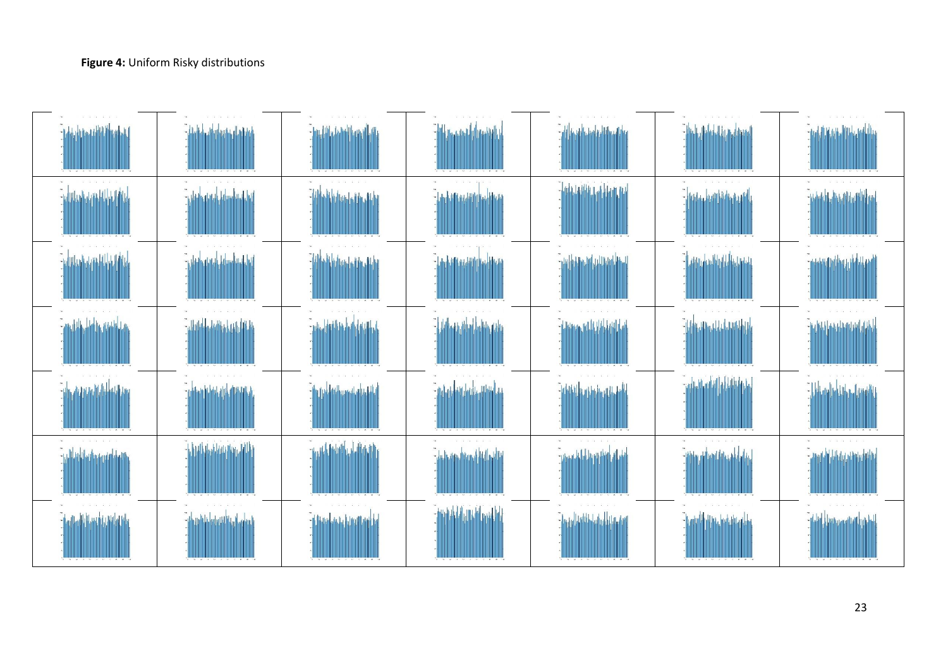| <b>International</b> | <b>Chuk</b><br>فراه استفتيته | والترأة وتما المقماء                    | <b>Children of the Children</b> |                                        | <b>The Little Edition</b>                | <b>University</b>        |
|----------------------|------------------------------|-----------------------------------------|---------------------------------|----------------------------------------|------------------------------------------|--------------------------|
|                      | أسأرا                        | .<br>Aladian Laide Jitha                | <b>Laukulteratur</b>            | - Loda Ladildi Ladildam dal<br>البالبا |                                          |                          |
|                      |                              | ĩШ.<br>الأنادان الماه                   | - La Jacobia a Japón            |                                        | albinddalaet, adal e                     |                          |
|                      |                              |                                         |                                 |                                        | <u> Filipina ikko alda balan bila bi</u> | وأطناه استمعنا ومواطناهم |
| أأأملط               |                              | <b>dillup</b> <sup>p</sup><br>فاللهمانة |                                 |                                        | <b>fililala</b> da                       |                          |
|                      |                              |                                         | تأليها أنافأ أحسن               |                                        | .<br>La hall dista                       |                          |
|                      | advetti kl                   | an a bheiltean ba                       | ald mald                        |                                        | .<br>Misi Jaduk                          |                          |